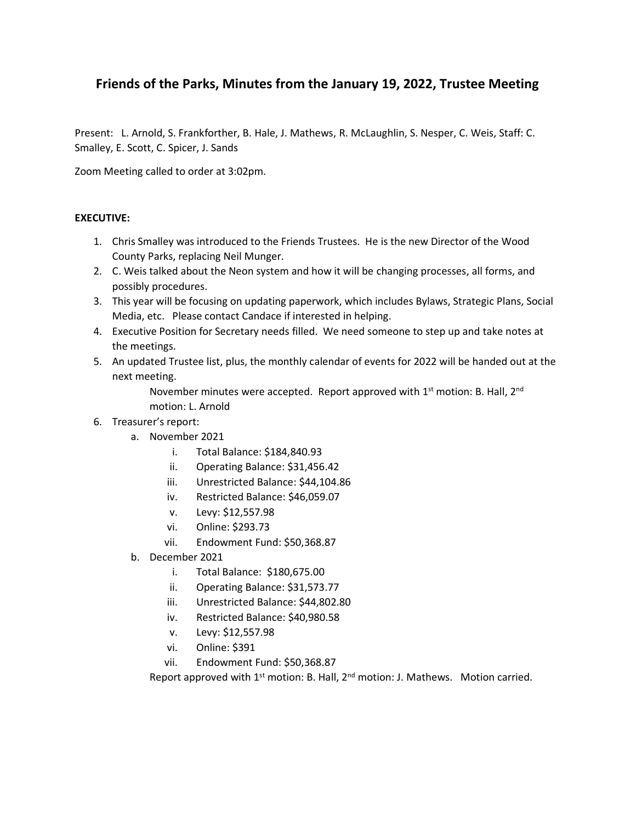# **Friends of the Parks, Minutes from the January 19, 2022, Trustee Meeting**

Present: L. Arnold, S. Frankforther, B. Hale, J. Mathews, R. McLaughlin, S. Nesper, C. Weis, Staff: C. Smalley, E. Scott, C. Spicer, J. Sands

Zoom Meeting called to order at 3:02pm.

### **EXECUTIVE:**

- 1. Chris Smalley was introduced to the Friends Trustees. He is the new Director of the Wood County Parks, replacing Neil Munger.
- 2. C. Weis talked about the Neon system and how it will be changing processes, all forms, and possibly procedures.
- 3. This year will be focusing on updating paperwork, which includes Bylaws, Strategic Plans, Social Media, etc. Please contact Candace if interested in helping.
- 4. Executive Position for Secretary needs filled. We need someone to step up and take notes at the meetings.
- 5. An updated Trustee list, plus, the monthly calendar of events for 2022 will be handed out at the next meeting.

November minutes were accepted. Report approved with  $1<sup>st</sup>$  motion: B. Hall,  $2<sup>nd</sup>$ motion: L. Arnold

- 6. Treasurer's report:
	- a. November 2021
		- i. Total Balance: \$184,840.93
		- ii. Operating Balance: \$31,456.42
		- iii. Unrestricted Balance: \$44,104.86
		- iv. Restricted Balance: \$46,059.07
		- v. Levy: \$12,557.98
		- vi. Online: \$293.73
		- vii. Endowment Fund: \$50,368.87
	- b. December 2021
		- i. Total Balance: \$180,675.00
		- ii. Operating Balance: \$31,573.77
		- iii. Unrestricted Balance: \$44,802.80
		- iv. Restricted Balance: \$40,980.58
		- v. Levy: \$12,557.98
		- vi. Online: \$391
		- vii. Endowment Fund: \$50,368.87

Report approved with  $1^{st}$  motion: B. Hall,  $2^{nd}$  motion: J. Mathews. Motion carried.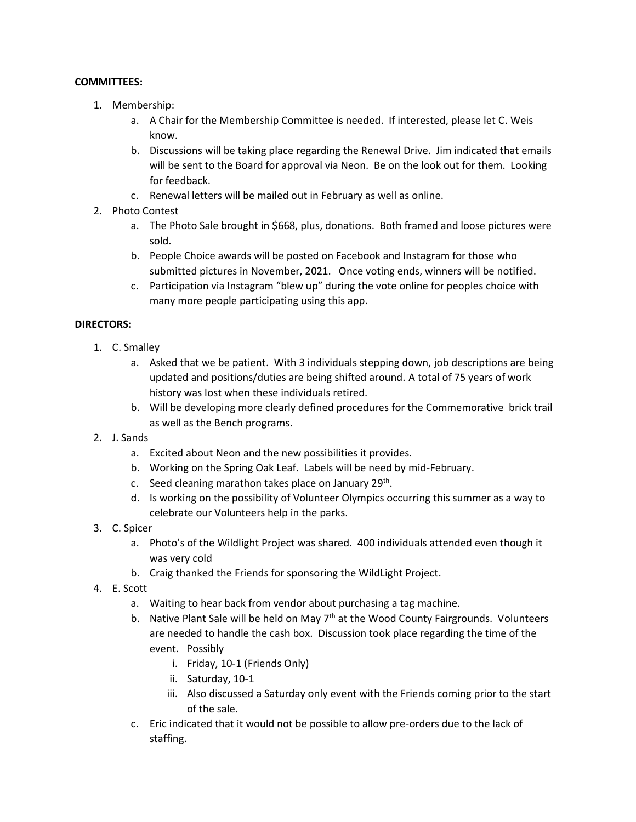# **COMMITTEES:**

- 1. Membership:
	- a. A Chair for the Membership Committee is needed. If interested, please let C. Weis know.
	- b. Discussions will be taking place regarding the Renewal Drive. Jim indicated that emails will be sent to the Board for approval via Neon. Be on the look out for them. Looking for feedback.
	- c. Renewal letters will be mailed out in February as well as online.
- 2. Photo Contest
	- a. The Photo Sale brought in \$668, plus, donations. Both framed and loose pictures were sold.
	- b. People Choice awards will be posted on Facebook and Instagram for those who submitted pictures in November, 2021. Once voting ends, winners will be notified.
	- c. Participation via Instagram "blew up" during the vote online for peoples choice with many more people participating using this app.

## **DIRECTORS:**

- 1. C. Smalley
	- a. Asked that we be patient. With 3 individuals stepping down, job descriptions are being updated and positions/duties are being shifted around. A total of 75 years of work history was lost when these individuals retired.
	- b. Will be developing more clearly defined procedures for the Commemorative brick trail as well as the Bench programs.
- 2. J. Sands
	- a. Excited about Neon and the new possibilities it provides.
	- b. Working on the Spring Oak Leaf. Labels will be need by mid-February.
	- c. Seed cleaning marathon takes place on January 29<sup>th</sup>.
	- d. Is working on the possibility of Volunteer Olympics occurring this summer as a way to celebrate our Volunteers help in the parks.
- 3. C. Spicer
	- a. Photo's of the Wildlight Project was shared. 400 individuals attended even though it was very cold
	- b. Craig thanked the Friends for sponsoring the WildLight Project.
- 4. E. Scott
	- a. Waiting to hear back from vendor about purchasing a tag machine.
	- b. Native Plant Sale will be held on May  $7<sup>th</sup>$  at the Wood County Fairgrounds. Volunteers are needed to handle the cash box. Discussion took place regarding the time of the event. Possibly
		- i. Friday, 10-1 (Friends Only)
		- ii. Saturday, 10-1
		- iii. Also discussed a Saturday only event with the Friends coming prior to the start of the sale.
	- c. Eric indicated that it would not be possible to allow pre-orders due to the lack of staffing.